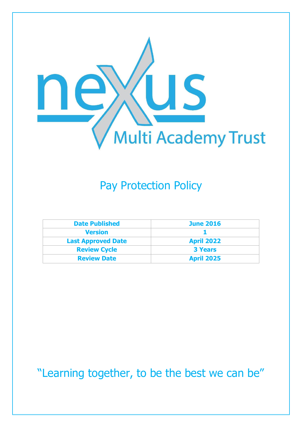

## Pay Protection Policy

| <b>Date Published</b>     | <b>June 2016</b>  |
|---------------------------|-------------------|
| <b>Version</b>            |                   |
| <b>Last Approved Date</b> | <b>April 2022</b> |
| <b>Review Cycle</b>       | <b>3 Years</b>    |
| <b>Review Date</b>        | <b>April 2025</b> |

"Learning together, to be the best we can be"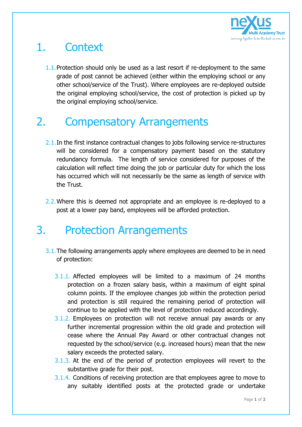

## 1. Context

1.1. Protection should only be used as a last resort if re-deployment to the same grade of post cannot be achieved (either within the employing school or any other school/service of the Trust). Where employees are re-deployed outside the original employing school/service, the cost of protection is picked up by the original employing school/service.

## 2. Compensatory Arrangements

- 2.1. In the first instance contractual changes to jobs following service re-structures will be considered for a compensatory payment based on the statutory redundancy formula. The length of service considered for purposes of the calculation will reflect time doing the job or particular duty for which the loss has occurred which will not necessarily be the same as length of service with the Trust.
- 2.2. Where this is deemed not appropriate and an employee is re-deployed to a post at a lower pay band, employees will be afforded protection.

## 3. Protection Arrangements

- 3.1.The following arrangements apply where employees are deemed to be in need of protection:
	- 3.1.1. Affected employees will be limited to a maximum of 24 months protection on a frozen salary basis, within a maximum of eight spinal column points. If the employee changes job within the protection period and protection is still required the remaining period of protection will continue to be applied with the level of protection reduced accordingly.
	- 3.1.2. Employees on protection will not receive annual pay awards or any further incremental progression within the old grade and protection will cease where the Annual Pay Award or other contractual changes not requested by the school/service (e.g. increased hours) mean that the new salary exceeds the protected salary.
	- 3.1.3. At the end of the period of protection employees will revert to the substantive grade for their post.
	- 3.1.4. Conditions of receiving protection are that employees agree to move to any suitably identified posts at the protected grade or undertake